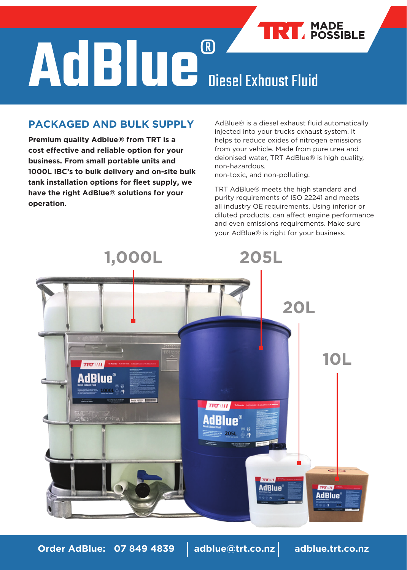# **TRY** MADE **AdBlue**® Diesel Exhaust Fluid

## **PACKAGED AND BULK SUPPLY**

**Premium quality Adblue® from TRT is a cost effective and reliable option for your business. From small portable units and 1000L IBC's to bulk delivery and on-site bulk tank installation options for fleet supply, we have the right AdBlue® solutions for your operation.**

AdBlue® is a diesel exhaust fluid automatically injected into your trucks exhaust system. It helps to reduce oxides of nitrogen emissions from your vehicle. Made from pure urea and deionised water, TRT AdBlue® is high quality, non-hazardous,

non-toxic, and non-polluting.

TRT AdBlue® meets the high standard and purity requirements of ISO 22241 and meets all industry OE requirements. Using inferior or diluted products, can affect engine performance and even emissions requirements. Make sure your AdBlue® is right for your business.